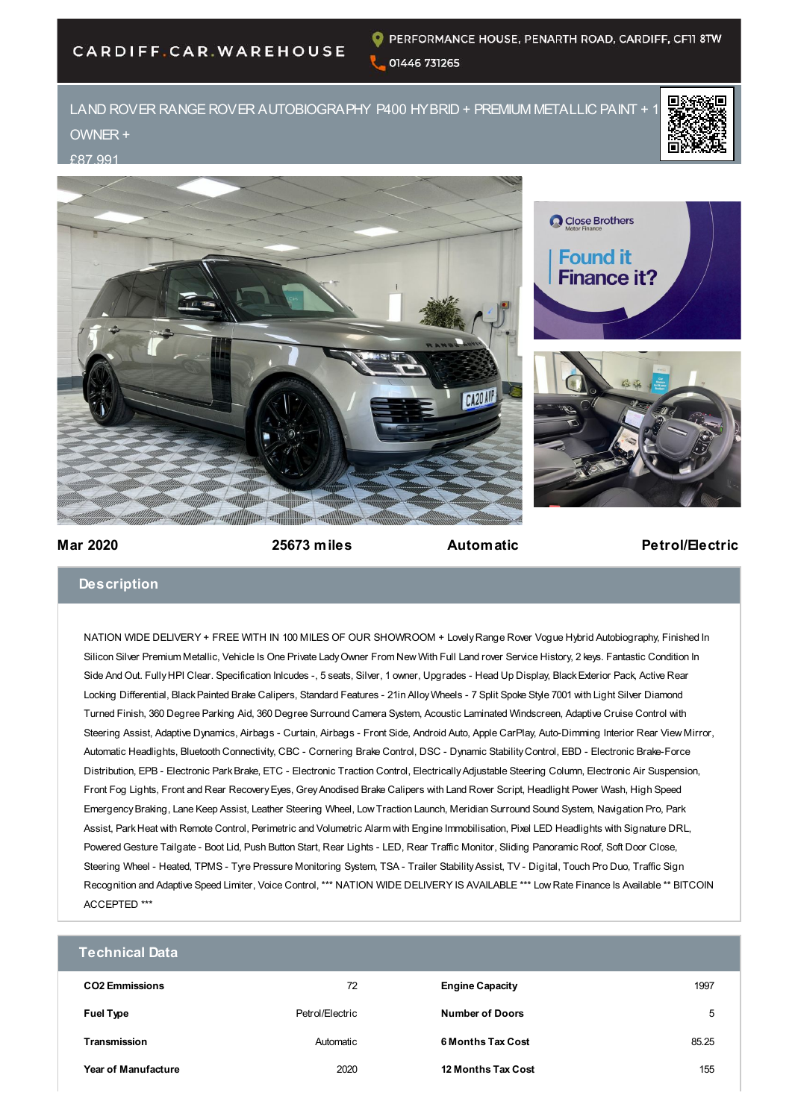## CARDIFF.CAR.WAREHOUSE

## LAND ROVER RANGE ROVER AUTOBIOGRAPHY P400 HYBRID + PREMIUM METALLIC PAINT + OWNER +









**Mar 2020 25673 miles Automatic Petrol/Electric**

## **Description**

NATION WIDE DELIVERY + FREE WITH IN 100 MILES OF OUR SHOWROOM + Lovely Range Rover Vogue Hybrid Autobiography, Finished In Silicon Silver Premium Metallic, Vehicle Is One Private Lady Owner From New With Full Land rover Service History, 2 keys. Fantastic Condition In Side And Out. Fully HPI Clear. Specification Inlcudes -, 5 seats, Silver, 1 owner, Upgrades - Head Up Display, Black Exterior Pack, Active Rear Locking Differential, Black Painted Brake Calipers, Standard Features - 21in Alloy Wheels - 7 Split Spoke Style 7001 with Light Silver Diamond Turned Finish, 360 Degree Parking Aid, 360 Degree Surround Camera System, Acoustic Laminated Windscreen, Adaptive Cruise Control with Steering Assist, Adaptive Dynamics, Airbags - Curtain, Airbags - Front Side, Android Auto, Apple CarPlay, Auto-Dimming Interior Rear View Mirror, Automatic Headlights, Bluetooth Connectivity, CBC - Cornering Brake Control, DSC - Dynamic Stability Control, EBD - Electronic Brake-Force Distribution, EPB - Electronic Park Brake, ETC - Electronic Traction Control, Electrically Adjustable Steering Column, Electronic Air Suspension, Front Fog Lights, Front and Rear Recovery Eyes, Grey Anodised Brake Calipers with Land Rover Script, Headlight Power Wash, High Speed Emergency Braking, Lane Keep Assist, Leather Steering Wheel, Low Traction Launch, Meridian Surround Sound System, Navigation Pro, Park Assist, Park Heat with Remote Control, Perimetric and Volumetric Alarm with Engine Immobilisation, Pixel LED Headlights with Signature DRL, Powered Gesture Tailgate - Boot Lid, Push Button Start, Rear Lights - LED, Rear Traffic Monitor, Sliding Panoramic Roof, Soft Door Close, Steering Wheel - Heated, TPMS - Tyre Pressure Monitoring System, TSA - Trailer Stability Assist, TV - Digital, Touch Pro Duo, Traffic Sign Recognition and Adaptive Speed Limiter, Voice Control, \*\*\* NATION WIDE DELIVERY IS AVAILABLE \*\*\* Low Rate Finance Is Available \*\* BITCOIN ACCEPTED \*\*\*

| <b>Technical Data</b>      |                 |                           |       |
|----------------------------|-----------------|---------------------------|-------|
| <b>CO2 Emmissions</b>      | 72              | <b>Engine Capacity</b>    | 1997  |
| <b>Fuel Type</b>           | Petrol/Electric | <b>Number of Doors</b>    | 5     |
| <b>Transmission</b>        | Automatic       | 6 Months Tax Cost         | 85.25 |
| <b>Year of Manufacture</b> | 2020            | <b>12 Months Tax Cost</b> | 155   |